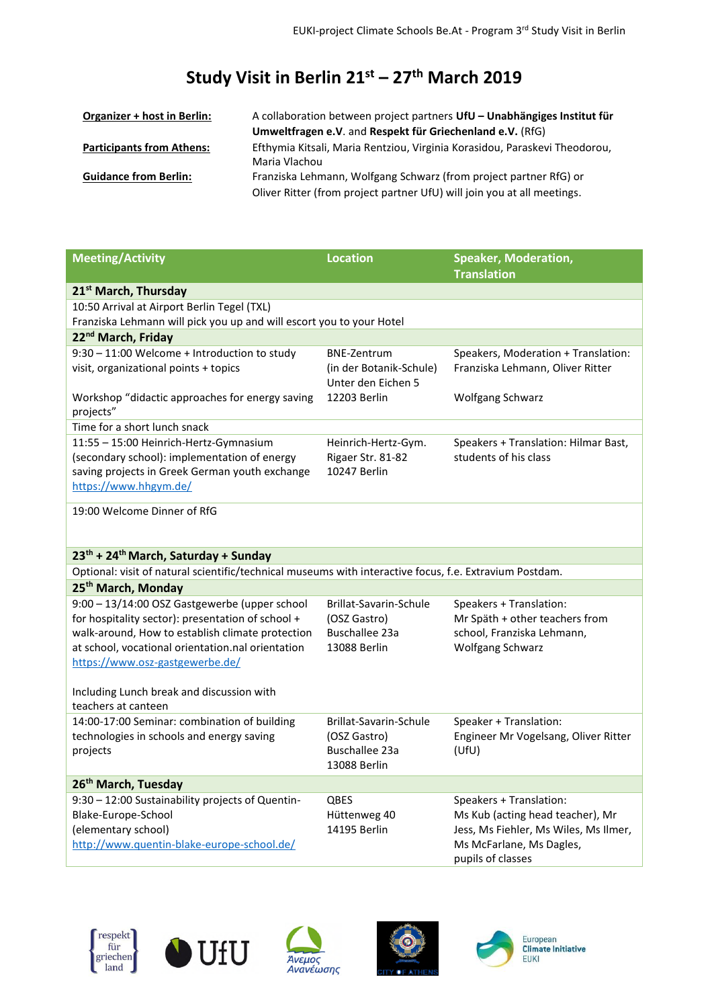## **Study Visit in Berlin 21st ʹ 27th March 2019**

| Organizer + host in Berlin:      | A collaboration between project partners UfU – Unabhängiges Institut für   |
|----------------------------------|----------------------------------------------------------------------------|
|                                  | Umweltfragen e.V. and Respekt für Griechenland e.V. (RfG)                  |
| <b>Participants from Athens:</b> | Efthymia Kitsali, Maria Rentziou, Virginia Korasidou, Paraskevi Theodorou, |
|                                  | Maria Vlachou                                                              |
| <b>Guidance from Berlin:</b>     | Franziska Lehmann, Wolfgang Schwarz (from project partner RfG) or          |
|                                  | Oliver Ritter (from project partner UfU) will join you at all meetings.    |

| <b>Meeting/Activity</b>                                                                                 | <b>Location</b>                        | <b>Speaker, Moderation,</b><br><b>Translation</b>              |  |  |  |
|---------------------------------------------------------------------------------------------------------|----------------------------------------|----------------------------------------------------------------|--|--|--|
| 21 <sup>st</sup> March, Thursday                                                                        |                                        |                                                                |  |  |  |
| 10:50 Arrival at Airport Berlin Tegel (TXL)                                                             |                                        |                                                                |  |  |  |
| Franziska Lehmann will pick you up and will escort you to your Hotel                                    |                                        |                                                                |  |  |  |
| 22 <sup>nd</sup> March, Friday                                                                          |                                        |                                                                |  |  |  |
| 9:30 - 11:00 Welcome + Introduction to study                                                            | <b>BNE-Zentrum</b>                     | Speakers, Moderation + Translation:                            |  |  |  |
| visit, organizational points + topics                                                                   | (in der Botanik-Schule)                | Franziska Lehmann, Oliver Ritter                               |  |  |  |
|                                                                                                         | Unter den Eichen 5                     |                                                                |  |  |  |
| Workshop "didactic approaches for energy saving                                                         | 12203 Berlin                           | Wolfgang Schwarz                                               |  |  |  |
| projects"<br>Time for a short lunch snack                                                               |                                        |                                                                |  |  |  |
| 11:55 - 15:00 Heinrich-Hertz-Gymnasium                                                                  | Heinrich-Hertz-Gym.                    | Speakers + Translation: Hilmar Bast,                           |  |  |  |
| (secondary school): implementation of energy                                                            | Rigaer Str. 81-82                      | students of his class                                          |  |  |  |
| saving projects in Greek German youth exchange                                                          | 10247 Berlin                           |                                                                |  |  |  |
| https://www.hhgym.de/                                                                                   |                                        |                                                                |  |  |  |
|                                                                                                         |                                        |                                                                |  |  |  |
| 19:00 Welcome Dinner of RfG                                                                             |                                        |                                                                |  |  |  |
|                                                                                                         |                                        |                                                                |  |  |  |
| 23 <sup>th</sup> + 24 <sup>th</sup> March, Saturday + Sunday                                            |                                        |                                                                |  |  |  |
| Optional: visit of natural scientific/technical museums with interactive focus, f.e. Extravium Postdam. |                                        |                                                                |  |  |  |
| 25 <sup>th</sup> March, Monday                                                                          |                                        |                                                                |  |  |  |
| 9:00 - 13/14:00 OSZ Gastgewerbe (upper school                                                           | Brillat-Savarin-Schule                 | Speakers + Translation:                                        |  |  |  |
| for hospitality sector): presentation of school +                                                       | (OSZ Gastro)                           | Mr Späth + other teachers from                                 |  |  |  |
| walk-around, How to establish climate protection                                                        | Buschallee 23a                         | school, Franziska Lehmann,                                     |  |  |  |
| at school, vocational orientation.nal orientation                                                       | 13088 Berlin                           | Wolfgang Schwarz                                               |  |  |  |
| https://www.osz-gastgewerbe.de/                                                                         |                                        |                                                                |  |  |  |
|                                                                                                         |                                        |                                                                |  |  |  |
| Including Lunch break and discussion with                                                               |                                        |                                                                |  |  |  |
| teachers at canteen                                                                                     |                                        |                                                                |  |  |  |
| 14:00-17:00 Seminar: combination of building<br>technologies in schools and energy saving               | Brillat-Savarin-Schule<br>(OSZ Gastro) | Speaker + Translation:<br>Engineer Mr Vogelsang, Oliver Ritter |  |  |  |
| projects                                                                                                | <b>Buschallee 23a</b>                  | (UfU)                                                          |  |  |  |
|                                                                                                         | 13088 Berlin                           |                                                                |  |  |  |
| 26 <sup>th</sup> March, Tuesday                                                                         |                                        |                                                                |  |  |  |
| 9:30 - 12:00 Sustainability projects of Quentin-                                                        | <b>QBES</b>                            | Speakers + Translation:                                        |  |  |  |
| Blake-Europe-School                                                                                     | Hüttenweg 40                           | Ms Kub (acting head teacher), Mr                               |  |  |  |
| (elementary school)                                                                                     | 14195 Berlin                           | Jess, Ms Fiehler, Ms Wiles, Ms Ilmer,                          |  |  |  |
| http://www.quentin-blake-europe-school.de/                                                              |                                        | Ms McFarlane, Ms Dagles,                                       |  |  |  |
|                                                                                                         |                                        | pupils of classes                                              |  |  |  |